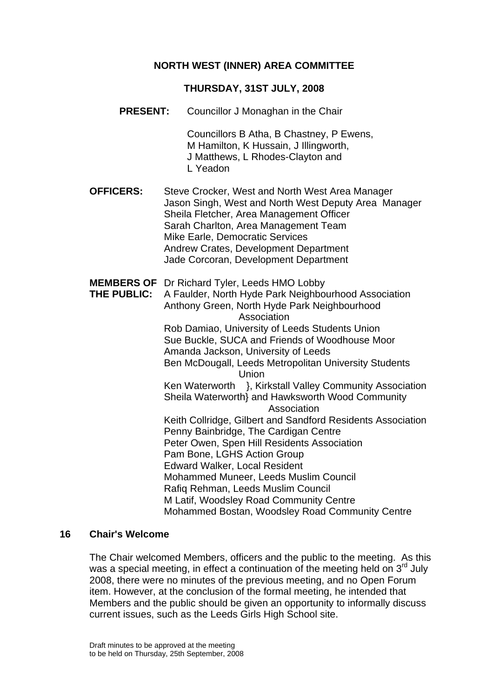### **NORTH WEST (INNER) AREA COMMITTEE**

#### **THURSDAY, 31ST JULY, 2008**

**PRESENT:** Councillor J Monaghan in the Chair

Councillors B Atha, B Chastney, P Ewens, M Hamilton, K Hussain, J Illingworth, J Matthews, L Rhodes-Clayton and L Yeadon

- **OFFICERS:** Steve Crocker, West and North West Area Manager Jason Singh, West and North West Deputy Area Manager Sheila Fletcher, Area Management Officer Sarah Charlton, Area Management Team Mike Earle, Democratic Services Andrew Crates, Development Department Jade Corcoran, Development Department
- **MEMBERS OF** Dr Richard Tyler, Leeds HMO Lobby
- **THE PUBLIC:** A Faulder, North Hyde Park Neighbourhood Association Anthony Green, North Hyde Park Neighbourhood **Association** Rob Damiao, University of Leeds Students Union Sue Buckle, SUCA and Friends of Woodhouse Moor Amanda Jackson, University of Leeds Ben McDougall, Leeds Metropolitan University Students Union Ken Waterworth }, Kirkstall Valley Community Association Sheila Waterworth} and Hawksworth Wood Community Association Keith Collridge, Gilbert and Sandford Residents Association Penny Bainbridge, The Cardigan Centre Peter Owen, Spen Hill Residents Association Pam Bone, LGHS Action Group Edward Walker, Local Resident Mohammed Muneer, Leeds Muslim Council Rafiq Rehman, Leeds Muslim Council M Latif, Woodsley Road Community Centre Mohammed Bostan, Woodsley Road Community Centre

#### **16 Chair's Welcome**

The Chair welcomed Members, officers and the public to the meeting. As this was a special meeting, in effect a continuation of the meeting held on  $3<sup>rd</sup>$  July 2008, there were no minutes of the previous meeting, and no Open Forum item. However, at the conclusion of the formal meeting, he intended that Members and the public should be given an opportunity to informally discuss current issues, such as the Leeds Girls High School site.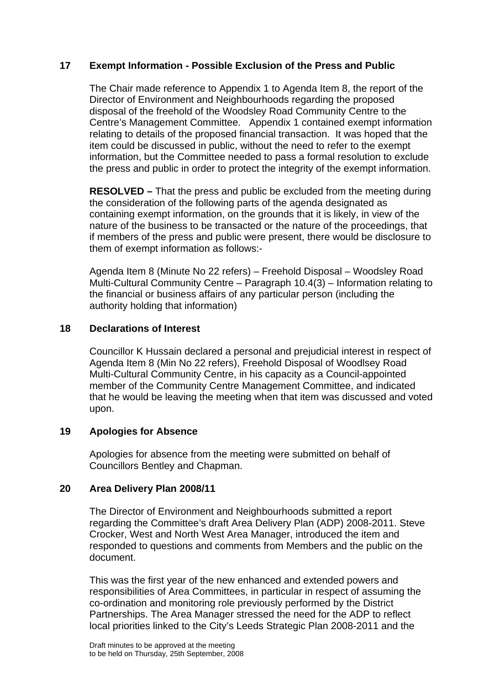### **17 Exempt Information - Possible Exclusion of the Press and Public**

The Chair made reference to Appendix 1 to Agenda Item 8, the report of the Director of Environment and Neighbourhoods regarding the proposed disposal of the freehold of the Woodsley Road Community Centre to the Centre's Management Committee. Appendix 1 contained exempt information relating to details of the proposed financial transaction. It was hoped that the item could be discussed in public, without the need to refer to the exempt information, but the Committee needed to pass a formal resolution to exclude the press and public in order to protect the integrity of the exempt information.

**RESOLVED –** That the press and public be excluded from the meeting during the consideration of the following parts of the agenda designated as containing exempt information, on the grounds that it is likely, in view of the nature of the business to be transacted or the nature of the proceedings, that if members of the press and public were present, there would be disclosure to them of exempt information as follows:-

Agenda Item 8 (Minute No 22 refers) – Freehold Disposal – Woodsley Road Multi-Cultural Community Centre – Paragraph 10.4(3) – Information relating to the financial or business affairs of any particular person (including the authority holding that information)

### **18 Declarations of Interest**

Councillor K Hussain declared a personal and prejudicial interest in respect of Agenda Item 8 (Min No 22 refers), Freehold Disposal of Woodlsey Road Multi-Cultural Community Centre, in his capacity as a Council-appointed member of the Community Centre Management Committee, and indicated that he would be leaving the meeting when that item was discussed and voted upon.

# **19 Apologies for Absence**

Apologies for absence from the meeting were submitted on behalf of Councillors Bentley and Chapman.

### **20 Area Delivery Plan 2008/11**

The Director of Environment and Neighbourhoods submitted a report regarding the Committee's draft Area Delivery Plan (ADP) 2008-2011. Steve Crocker, West and North West Area Manager, introduced the item and responded to questions and comments from Members and the public on the document.

This was the first year of the new enhanced and extended powers and responsibilities of Area Committees, in particular in respect of assuming the co-ordination and monitoring role previously performed by the District Partnerships. The Area Manager stressed the need for the ADP to reflect local priorities linked to the City's Leeds Strategic Plan 2008-2011 and the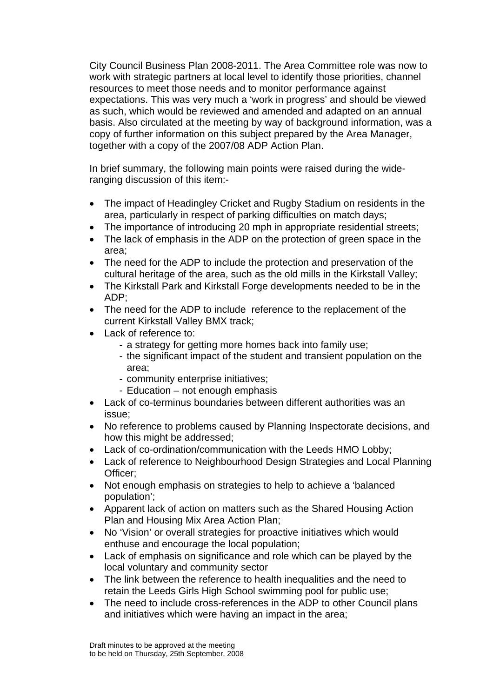City Council Business Plan 2008-2011. The Area Committee role was now to work with strategic partners at local level to identify those priorities, channel resources to meet those needs and to monitor performance against expectations. This was very much a 'work in progress' and should be viewed as such, which would be reviewed and amended and adapted on an annual basis. Also circulated at the meeting by way of background information, was a copy of further information on this subject prepared by the Area Manager, together with a copy of the 2007/08 ADP Action Plan.

In brief summary, the following main points were raised during the wideranging discussion of this item:-

- The impact of Headingley Cricket and Rugby Stadium on residents in the area, particularly in respect of parking difficulties on match days;
- The importance of introducing 20 mph in appropriate residential streets;
- The lack of emphasis in the ADP on the protection of green space in the area;
- The need for the ADP to include the protection and preservation of the cultural heritage of the area, such as the old mills in the Kirkstall Valley;
- The Kirkstall Park and Kirkstall Forge developments needed to be in the ADP;
- The need for the ADP to include reference to the replacement of the current Kirkstall Valley BMX track;
- Lack of reference to:
	- a strategy for getting more homes back into family use;
		- the significant impact of the student and transient population on the area;
		- community enterprise initiatives;
		- Education not enough emphasis
- Lack of co-terminus boundaries between different authorities was an issue;
- No reference to problems caused by Planning Inspectorate decisions, and how this might be addressed:
- Lack of co-ordination/communication with the Leeds HMO Lobby;
- Lack of reference to Neighbourhood Design Strategies and Local Planning Officer;
- Not enough emphasis on strategies to help to achieve a 'balanced' population';
- Apparent lack of action on matters such as the Shared Housing Action Plan and Housing Mix Area Action Plan;
- No 'Vision' or overall strategies for proactive initiatives which would enthuse and encourage the local population;
- Lack of emphasis on significance and role which can be played by the local voluntary and community sector
- The link between the reference to health inequalities and the need to retain the Leeds Girls High School swimming pool for public use;
- The need to include cross-references in the ADP to other Council plans and initiatives which were having an impact in the area;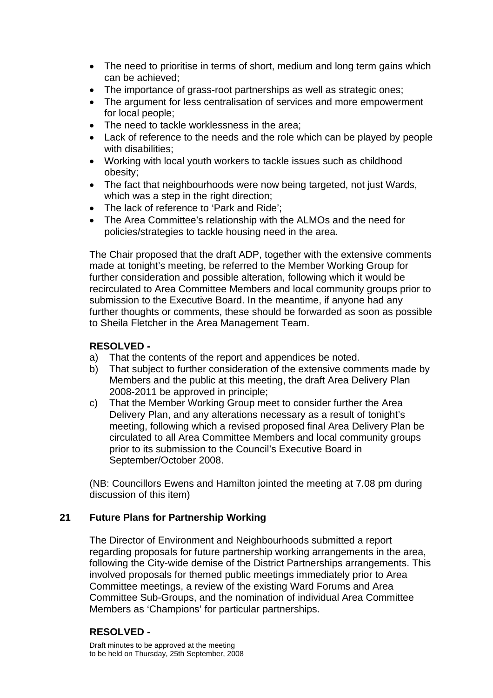- The need to prioritise in terms of short, medium and long term gains which can be achieved;
- The importance of grass-root partnerships as well as strategic ones;
- The argument for less centralisation of services and more empowerment for local people;
- The need to tackle worklessness in the area:
- Lack of reference to the needs and the role which can be played by people with disabilities;
- Working with local youth workers to tackle issues such as childhood obesity;
- The fact that neighbourhoods were now being targeted, not just Wards, which was a step in the right direction;
- The lack of reference to 'Park and Ride':
- The Area Committee's relationship with the ALMOs and the need for policies/strategies to tackle housing need in the area.

The Chair proposed that the draft ADP, together with the extensive comments made at tonight's meeting, be referred to the Member Working Group for further consideration and possible alteration, following which it would be recirculated to Area Committee Members and local community groups prior to submission to the Executive Board. In the meantime, if anyone had any further thoughts or comments, these should be forwarded as soon as possible to Sheila Fletcher in the Area Management Team.

## **RESOLVED -**

- a) That the contents of the report and appendices be noted.
- b) That subject to further consideration of the extensive comments made by Members and the public at this meeting, the draft Area Delivery Plan 2008-2011 be approved in principle;
- c) That the Member Working Group meet to consider further the Area Delivery Plan, and any alterations necessary as a result of tonight's meeting, following which a revised proposed final Area Delivery Plan be circulated to all Area Committee Members and local community groups prior to its submission to the Council's Executive Board in September/October 2008.

(NB: Councillors Ewens and Hamilton jointed the meeting at 7.08 pm during discussion of this item)

### **21 Future Plans for Partnership Working**

The Director of Environment and Neighbourhoods submitted a report regarding proposals for future partnership working arrangements in the area, following the City-wide demise of the District Partnerships arrangements. This involved proposals for themed public meetings immediately prior to Area Committee meetings, a review of the existing Ward Forums and Area Committee Sub-Groups, and the nomination of individual Area Committee Members as 'Champions' for particular partnerships.

# **RESOLVED -**

Draft minutes to be approved at the meeting to be held on Thursday, 25th September, 2008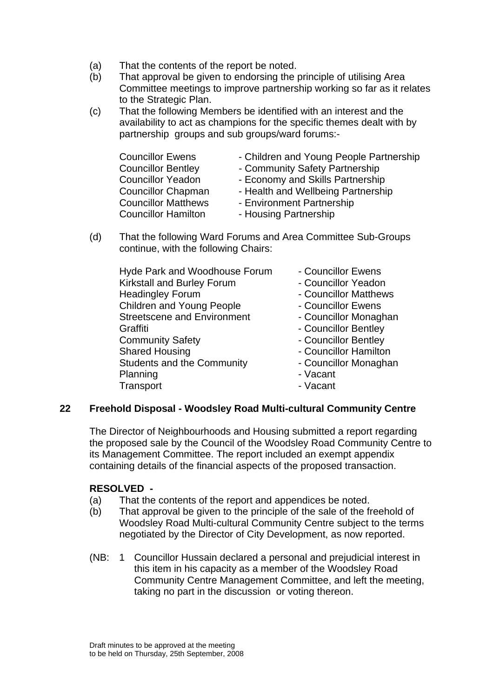- (a) That the contents of the report be noted.
- (b) That approval be given to endorsing the principle of utilising Area Committee meetings to improve partnership working so far as it relates to the Strategic Plan.
- (c) That the following Members be identified with an interest and the availability to act as champions for the specific themes dealt with by partnership groups and sub groups/ward forums:-

| <b>Councillor Ewens</b>    | - Children and Young People Partnership |
|----------------------------|-----------------------------------------|
| <b>Councillor Bentley</b>  | - Community Safety Partnership          |
| <b>Councillor Yeadon</b>   | - Economy and Skills Partnership        |
| <b>Councillor Chapman</b>  | - Health and Wellbeing Partnership      |
| <b>Councillor Matthews</b> | - Environment Partnership               |
| <b>Councillor Hamilton</b> | - Housing Partnership                   |

(d) That the following Ward Forums and Area Committee Sub-Groups continue, with the following Chairs:

| Hyde Park and Woodhouse Forum      | - Councillor Ewens    |
|------------------------------------|-----------------------|
| Kirkstall and Burley Forum         | - Councillor Yeadon   |
| <b>Headingley Forum</b>            | - Councillor Matthews |
| <b>Children and Young People</b>   | - Councillor Ewens    |
| <b>Streetscene and Environment</b> | - Councillor Monaghan |
| Graffiti                           | - Councillor Bentley  |
| <b>Community Safety</b>            | - Councillor Bentley  |
| <b>Shared Housing</b>              | - Councillor Hamilton |
| <b>Students and the Community</b>  | - Councillor Monaghan |
| Planning                           | - Vacant              |
| Transport                          | - Vacant              |

### **22 Freehold Disposal - Woodsley Road Multi-cultural Community Centre**

The Director of Neighbourhoods and Housing submitted a report regarding the proposed sale by the Council of the Woodsley Road Community Centre to its Management Committee. The report included an exempt appendix containing details of the financial aspects of the proposed transaction.

### **RESOLVED -**

- (a) That the contents of the report and appendices be noted.
- (b) That approval be given to the principle of the sale of the freehold of Woodsley Road Multi-cultural Community Centre subject to the terms negotiated by the Director of City Development, as now reported.
- (NB: 1 Councillor Hussain declared a personal and prejudicial interest in this item in his capacity as a member of the Woodsley Road Community Centre Management Committee, and left the meeting, taking no part in the discussion or voting thereon.